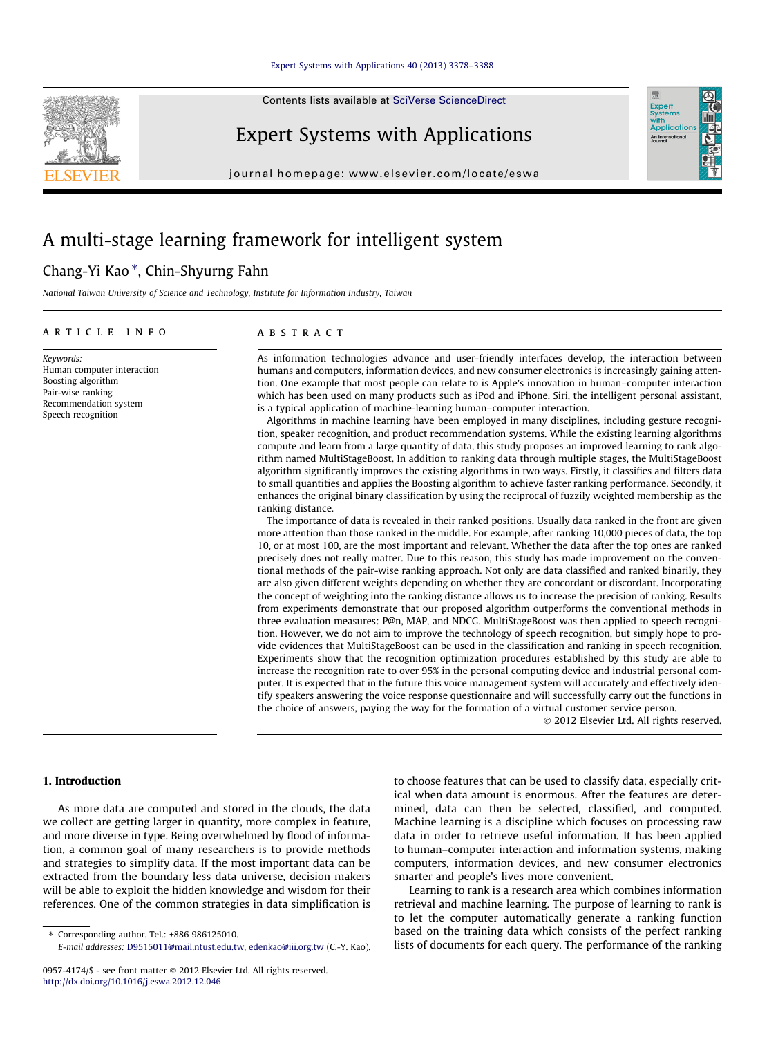Contents lists available at [SciVerse ScienceDirect](http://www.sciencedirect.com/science/journal/09574174)

Expert Systems with Applications

journal homepage: [www.elsevier.com/locate/eswa](http://www.elsevier.com/locate/eswa)

# A multi-stage learning framework for intelligent system

# Chang-Yi Kao\*, Chin-Shyurng Fahn

National Taiwan University of Science and Technology, Institute for Information Industry, Taiwan

### article info

Keywords: Human computer interaction Boosting algorithm Pair-wise ranking Recommendation system Speech recognition

# ABSTRACT

As information technologies advance and user-friendly interfaces develop, the interaction between humans and computers, information devices, and new consumer electronics is increasingly gaining attention. One example that most people can relate to is Apple's innovation in human–computer interaction which has been used on many products such as iPod and iPhone. Siri, the intelligent personal assistant, is a typical application of machine-learning human–computer interaction.

Algorithms in machine learning have been employed in many disciplines, including gesture recognition, speaker recognition, and product recommendation systems. While the existing learning algorithms compute and learn from a large quantity of data, this study proposes an improved learning to rank algorithm named MultiStageBoost. In addition to ranking data through multiple stages, the MultiStageBoost algorithm significantly improves the existing algorithms in two ways. Firstly, it classifies and filters data to small quantities and applies the Boosting algorithm to achieve faster ranking performance. Secondly, it enhances the original binary classification by using the reciprocal of fuzzily weighted membership as the ranking distance.

The importance of data is revealed in their ranked positions. Usually data ranked in the front are given more attention than those ranked in the middle. For example, after ranking 10,000 pieces of data, the top 10, or at most 100, are the most important and relevant. Whether the data after the top ones are ranked precisely does not really matter. Due to this reason, this study has made improvement on the conventional methods of the pair-wise ranking approach. Not only are data classified and ranked binarily, they are also given different weights depending on whether they are concordant or discordant. Incorporating the concept of weighting into the ranking distance allows us to increase the precision of ranking. Results from experiments demonstrate that our proposed algorithm outperforms the conventional methods in three evaluation measures: P@n, MAP, and NDCG. MultiStageBoost was then applied to speech recognition. However, we do not aim to improve the technology of speech recognition, but simply hope to provide evidences that MultiStageBoost can be used in the classification and ranking in speech recognition. Experiments show that the recognition optimization procedures established by this study are able to increase the recognition rate to over 95% in the personal computing device and industrial personal computer. It is expected that in the future this voice management system will accurately and effectively identify speakers answering the voice response questionnaire and will successfully carry out the functions in the choice of answers, paying the way for the formation of a virtual customer service person.

- 2012 Elsevier Ltd. All rights reserved.

# 1. Introduction

As more data are computed and stored in the clouds, the data we collect are getting larger in quantity, more complex in feature, and more diverse in type. Being overwhelmed by flood of information, a common goal of many researchers is to provide methods and strategies to simplify data. If the most important data can be extracted from the boundary less data universe, decision makers will be able to exploit the hidden knowledge and wisdom for their references. One of the common strategies in data simplification is

⇑ Corresponding author. Tel.: +886 986125010.

to choose features that can be used to classify data, especially critical when data amount is enormous. After the features are determined, data can then be selected, classified, and computed. Machine learning is a discipline which focuses on processing raw data in order to retrieve useful information. It has been applied to human–computer interaction and information systems, making computers, information devices, and new consumer electronics smarter and people's lives more convenient.

Learning to rank is a research area which combines information retrieval and machine learning. The purpose of learning to rank is to let the computer automatically generate a ranking function based on the training data which consists of the perfect ranking lists of documents for each query. The performance of the ranking



E-mail addresses: [D9515011@mail.ntust.edu.tw](mailto:D9515011@mail.ntust.edu.tw), [edenkao@iii.org.tw](mailto:edenkao@iii.org.tw) (C.-Y. Kao).

<sup>0957-4174/\$ -</sup> see front matter © 2012 Elsevier Ltd. All rights reserved. <http://dx.doi.org/10.1016/j.eswa.2012.12.046>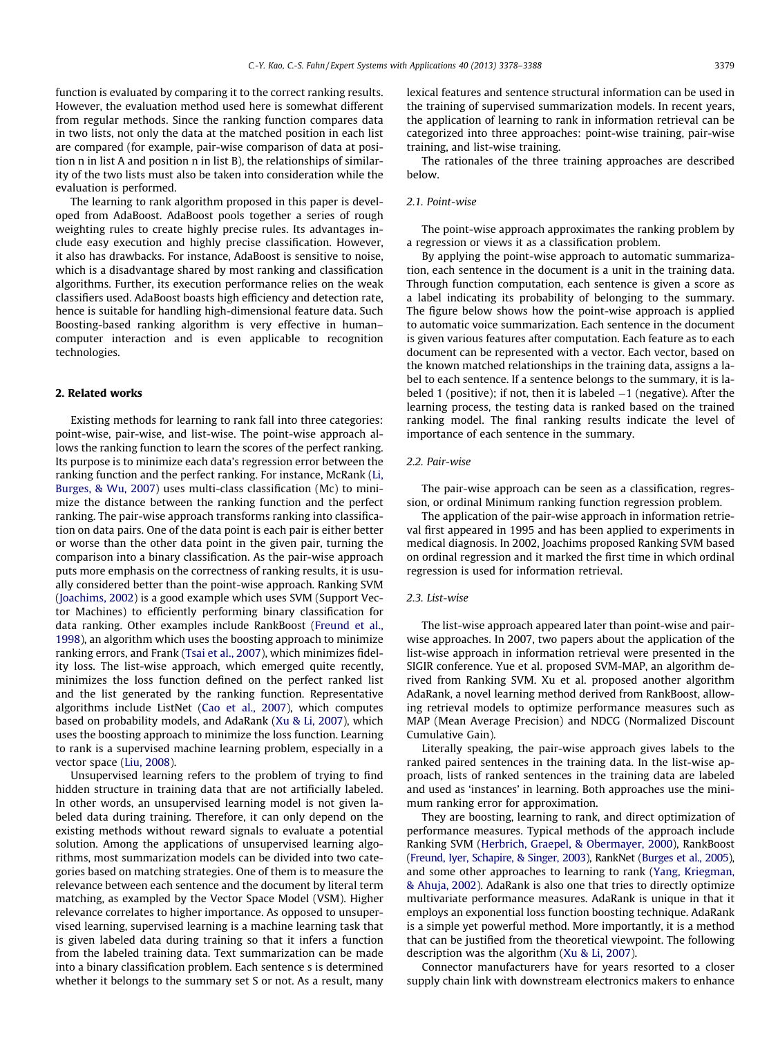function is evaluated by comparing it to the correct ranking results. However, the evaluation method used here is somewhat different from regular methods. Since the ranking function compares data in two lists, not only the data at the matched position in each list are compared (for example, pair-wise comparison of data at position n in list A and position n in list B), the relationships of similarity of the two lists must also be taken into consideration while the evaluation is performed.

The learning to rank algorithm proposed in this paper is developed from AdaBoost. AdaBoost pools together a series of rough weighting rules to create highly precise rules. Its advantages include easy execution and highly precise classification. However, it also has drawbacks. For instance, AdaBoost is sensitive to noise, which is a disadvantage shared by most ranking and classification algorithms. Further, its execution performance relies on the weak classifiers used. AdaBoost boasts high efficiency and detection rate, hence is suitable for handling high-dimensional feature data. Such Boosting-based ranking algorithm is very effective in human– computer interaction and is even applicable to recognition technologies.

#### 2. Related works

Existing methods for learning to rank fall into three categories: point-wise, pair-wise, and list-wise. The point-wise approach allows the ranking function to learn the scores of the perfect ranking. Its purpose is to minimize each data's regression error between the ranking function and the perfect ranking. For instance, McRank [\(Li,](#page--1-0) [Burges, & Wu, 2007](#page--1-0)) uses multi-class classification (Mc) to minimize the distance between the ranking function and the perfect ranking. The pair-wise approach transforms ranking into classification on data pairs. One of the data point is each pair is either better or worse than the other data point in the given pair, turning the comparison into a binary classification. As the pair-wise approach puts more emphasis on the correctness of ranking results, it is usually considered better than the point-wise approach. Ranking SVM ([Joachims, 2002\)](#page--1-0) is a good example which uses SVM (Support Vector Machines) to efficiently performing binary classification for data ranking. Other examples include RankBoost [\(Freund et al.,](#page--1-0) [1998\)](#page--1-0), an algorithm which uses the boosting approach to minimize ranking errors, and Frank [\(Tsai et al., 2007\)](#page--1-0), which minimizes fidelity loss. The list-wise approach, which emerged quite recently, minimizes the loss function defined on the perfect ranked list and the list generated by the ranking function. Representative algorithms include ListNet ([Cao et al., 2007](#page--1-0)), which computes based on probability models, and AdaRank [\(Xu & Li, 2007\)](#page--1-0), which uses the boosting approach to minimize the loss function. Learning to rank is a supervised machine learning problem, especially in a vector space [\(Liu, 2008](#page--1-0)).

Unsupervised learning refers to the problem of trying to find hidden structure in training data that are not artificially labeled. In other words, an unsupervised learning model is not given labeled data during training. Therefore, it can only depend on the existing methods without reward signals to evaluate a potential solution. Among the applications of unsupervised learning algorithms, most summarization models can be divided into two categories based on matching strategies. One of them is to measure the relevance between each sentence and the document by literal term matching, as exampled by the Vector Space Model (VSM). Higher relevance correlates to higher importance. As opposed to unsupervised learning, supervised learning is a machine learning task that is given labeled data during training so that it infers a function from the labeled training data. Text summarization can be made into a binary classification problem. Each sentence s is determined whether it belongs to the summary set S or not. As a result, many lexical features and sentence structural information can be used in the training of supervised summarization models. In recent years, the application of learning to rank in information retrieval can be categorized into three approaches: point-wise training, pair-wise training, and list-wise training.

The rationales of the three training approaches are described below.

### 2.1. Point-wise

The point-wise approach approximates the ranking problem by a regression or views it as a classification problem.

By applying the point-wise approach to automatic summarization, each sentence in the document is a unit in the training data. Through function computation, each sentence is given a score as a label indicating its probability of belonging to the summary. The figure below shows how the point-wise approach is applied to automatic voice summarization. Each sentence in the document is given various features after computation. Each feature as to each document can be represented with a vector. Each vector, based on the known matched relationships in the training data, assigns a label to each sentence. If a sentence belongs to the summary, it is labeled 1 (positive); if not, then it is labeled  $-1$  (negative). After the learning process, the testing data is ranked based on the trained ranking model. The final ranking results indicate the level of importance of each sentence in the summary.

#### 2.2. Pair-wise

The pair-wise approach can be seen as a classification, regression, or ordinal Minimum ranking function regression problem.

The application of the pair-wise approach in information retrieval first appeared in 1995 and has been applied to experiments in medical diagnosis. In 2002, Joachims proposed Ranking SVM based on ordinal regression and it marked the first time in which ordinal regression is used for information retrieval.

#### 2.3. List-wise

The list-wise approach appeared later than point-wise and pairwise approaches. In 2007, two papers about the application of the list-wise approach in information retrieval were presented in the SIGIR conference. Yue et al. proposed SVM-MAP, an algorithm derived from Ranking SVM. Xu et al. proposed another algorithm AdaRank, a novel learning method derived from RankBoost, allowing retrieval models to optimize performance measures such as MAP (Mean Average Precision) and NDCG (Normalized Discount Cumulative Gain).

Literally speaking, the pair-wise approach gives labels to the ranked paired sentences in the training data. In the list-wise approach, lists of ranked sentences in the training data are labeled and used as 'instances' in learning. Both approaches use the minimum ranking error for approximation.

They are boosting, learning to rank, and direct optimization of performance measures. Typical methods of the approach include Ranking SVM ([Herbrich, Graepel, & Obermayer, 2000](#page--1-0)), RankBoost [\(Freund, Iyer, Schapire, & Singer, 2003\)](#page--1-0), RankNet ([Burges et al., 2005\)](#page--1-0), and some other approaches to learning to rank [\(Yang, Kriegman,](#page--1-0) [& Ahuja, 2002\)](#page--1-0). AdaRank is also one that tries to directly optimize multivariate performance measures. AdaRank is unique in that it employs an exponential loss function boosting technique. AdaRank is a simple yet powerful method. More importantly, it is a method that can be justified from the theoretical viewpoint. The following description was the algorithm ([Xu & Li, 2007](#page--1-0)).

Connector manufacturers have for years resorted to a closer supply chain link with downstream electronics makers to enhance